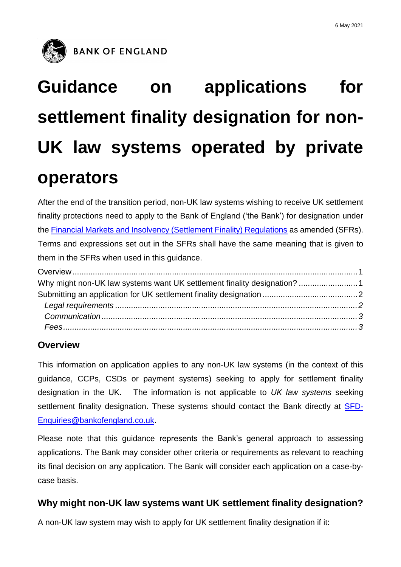

# **Guidance on applications for settlement finality designation for non-UK law systems operated by private operators**

After the end of the transition period, non-UK law systems wishing to receive UK settlement finality protections need to apply to the Bank of England ('the Bank') for designation under the [Financial Markets and Insolvency \(Settlement Finality\) Regulations](https://www.legislation.gov.uk/uksi/1999/2979/contents/made) as amended (SFRs). Terms and expressions set out in the SFRs shall have the same meaning that is given to them in the SFRs when used in this guidance.

## <span id="page-0-0"></span>**Overview**

This information on application applies to any non-UK law systems (in the context of this guidance, CCPs, CSDs or payment systems) seeking to apply for settlement finality designation in the UK. The information is not applicable to *UK law systems* seeking settlement finality designation. These systems should contact the Bank directly at **SFD-**[Enquiries@bankofengland.co.uk.](mailto:SFD-Enquiries@bankofengland.co.uk)

Please note that this guidance represents the Bank's general approach to assessing applications. The Bank may consider other criteria or requirements as relevant to reaching its final decision on any application. The Bank will consider each application on a case-bycase basis.

## <span id="page-0-1"></span>**Why might non-UK law systems want UK settlement finality designation?**

A non-UK law system may wish to apply for UK settlement finality designation if it: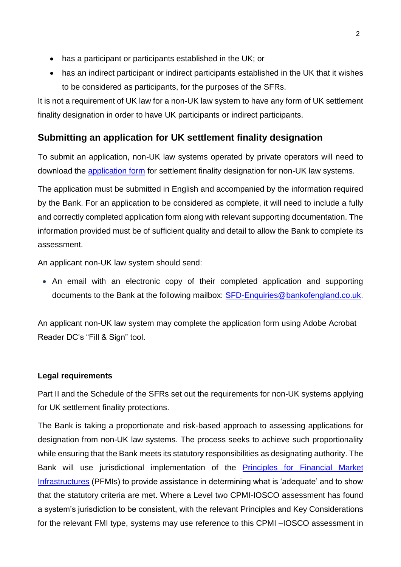- has a participant or participants established in the UK; or
- has an indirect participant or indirect participants established in the UK that it wishes to be considered as participants, for the purposes of the SFRs.

It is not a requirement of UK law for a non-UK law system to have any form of UK settlement finality designation in order to have UK participants or indirect participants.

## <span id="page-1-0"></span>**Submitting an application for UK settlement finality designation**

To submit an application, non-UK law systems operated by private operators will need to download the [application form](https://www.bankofengland.co.uk/-/media/boe/files/financial-stability/financial-market-infrastructure-supervision/application-form-sfd-private-systems) for settlement finality designation for non-UK law systems.

The application must be submitted in English and accompanied by the information required by the Bank. For an application to be considered as complete, it will need to include a fully and correctly completed application form along with relevant supporting documentation. The information provided must be of sufficient quality and detail to allow the Bank to complete its assessment.

An applicant non-UK law system should send:

 An email with an electronic copy of their completed application and supporting documents to the Bank at the following mailbox: [SFD-Enquiries@bankofengland.co.uk.](mailto:SFD-Enquiries@bankofengland.co.uk)

An applicant non-UK law system may complete the application form using Adobe Acrobat Reader DC's "Fill & Sign" tool.

### <span id="page-1-1"></span>**Legal requirements**

Part II and the Schedule of the SFRs set out the requirements for non-UK systems applying for UK settlement finality protections.

The Bank is taking a proportionate and risk-based approach to assessing applications for designation from non-UK law systems. The process seeks to achieve such proportionality while ensuring that the Bank meets its statutory responsibilities as designating authority. The Bank will use jurisdictional implementation of the [Principles for Financial Market](https://www.bis.org/cpmi/info_pfmi.htm)  [Infrastructures](https://www.bis.org/cpmi/info_pfmi.htm) (PFMIs) to provide assistance in determining what is 'adequate' and to show that the statutory criteria are met. Where a Level two CPMI-IOSCO assessment has found a system's jurisdiction to be consistent, with the relevant Principles and Key Considerations for the relevant FMI type, systems may use reference to this CPMI –IOSCO assessment in